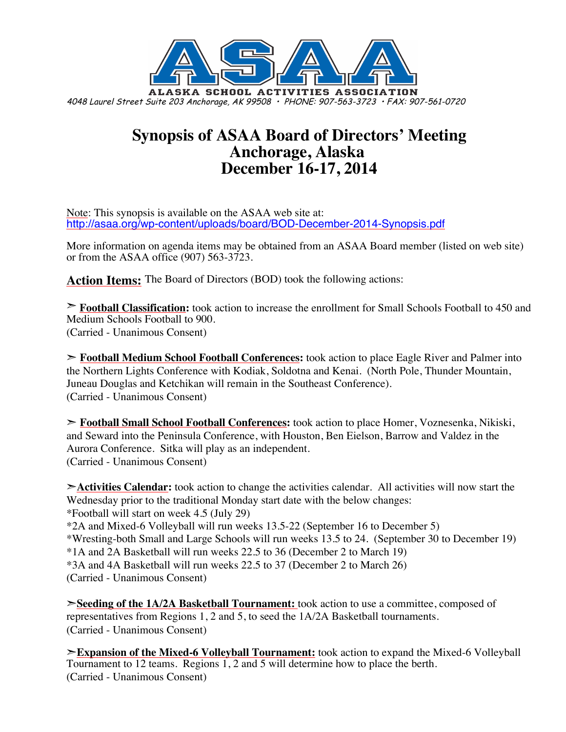

## **Synopsis of ASAA Board of Directors' Meeting Anchorage, Alaska December 16-17, 2014**

Note: This synopsis is available on the ASAA web site at: http://asaa.org/wp-content/uploads/board/BOD-December-2014-Synopsis.pdf

More information on agenda items may be obtained from an ASAA Board member (listed on web site) or from the ASAA office (907) 563-3723.

**Action Items:** The Board of Directors (BOD) took the following actions:

➣ **Football Classification:** took action to increase the enrollment for Small Schools Football to 450 and Medium Schools Football to 900. (Carried - Unanimous Consent)

➣ **Football Medium School Football Conferences:** took action to place Eagle River and Palmer into the Northern Lights Conference with Kodiak, Soldotna and Kenai. (North Pole, Thunder Mountain, Juneau Douglas and Ketchikan will remain in the Southeast Conference). (Carried - Unanimous Consent)

➣ **Football Small School Football Conferences:** took action to place Homer, Voznesenka, Nikiski, and Seward into the Peninsula Conference, with Houston, Ben Eielson, Barrow and Valdez in the Aurora Conference. Sitka will play as an independent. (Carried - Unanimous Consent)

➣**Activities Calendar:** took action to change the activities calendar. All activities will now start the Wednesday prior to the traditional Monday start date with the below changes: \*Football will start on week 4.5 (July 29) \*2A and Mixed-6 Volleyball will run weeks 13.5-22 (September 16 to December 5) \*Wresting-both Small and Large Schools will run weeks 13.5 to 24. (September 30 to December 19) \*1A and 2A Basketball will run weeks 22.5 to 36 (December 2 to March 19) \*3A and 4A Basketball will run weeks 22.5 to 37 (December 2 to March 26) (Carried - Unanimous Consent)

➣**Seeding of the 1A/2A Basketball Tournament:** took action to use a committee, composed of representatives from Regions 1, 2 and 5, to seed the 1A/2A Basketball tournaments. (Carried - Unanimous Consent)

➣**Expansion of the Mixed-6 Volleyball Tournament:** took action to expand the Mixed-6 Volleyball Tournament to 12 teams. Regions 1, 2 and 5 will determine how to place the berth. (Carried - Unanimous Consent)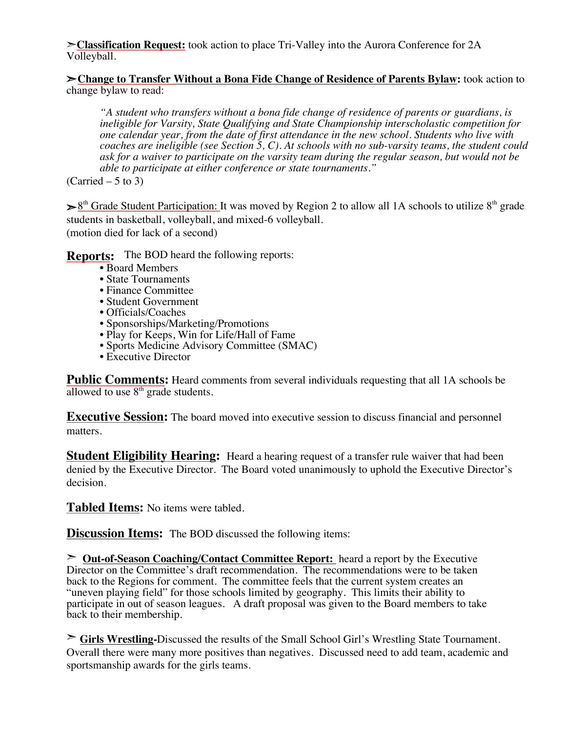➣**Classification Request:** took action to place Tri-Valley into the Aurora Conference for 2A Volleyball.

➣**Change to Transfer Without a Bona Fide Change of Residence of Parents Bylaw:** took action to change bylaw to read:

*"A student who transfers without a bona fide change of residence of parents or guardians, is ineligible for Varsity, State Qualifying and State Championship interscholastic competition for one calendar year, from the date of first attendance in the new school. Students who live with coaches are ineligible (see Section 5, C). At schools with no sub-varsity teams, the student could ask for a waiver to participate on the varsity team during the regular season, but would not be able to participate at either conference or state tournaments."*

 $(Carried – 5 to 3)$ 

 $\geq 8<sup>th</sup>$  Grade Student Participation: It was moved by Region 2 to allow all 1A schools to utilize  $8<sup>th</sup>$  grade students in basketball, volleyball, and mixed-6 volleyball. (motion died for lack of a second)

**Reports:** The BOD heard the following reports:

- Board Members
- State Tournaments
- Finance Committee
- Student Government
- Officials/Coaches
- Sponsorships/Marketing/Promotions
- Play for Keeps, Win for Life/Hall of Fame
- Sports Medicine Advisory Committee (SMAC)
- Executive Director

**Public Comments:** Heard comments from several individuals requesting that all 1A schools be allowed to use  $8<sup>th</sup>$  grade students.

**Executive Session:** The board moved into executive session to discuss financial and personnel matters.

**Student Eligibility Hearing:** Heard a hearing request of a transfer rule waiver that had been denied by the Executive Director. The Board voted unanimously to uphold the Executive Director's decision.

**Tabled Items:** No items were tabled.

**Discussion Items:** The BOD discussed the following items:

➣ **Out-of-Season Coaching/Contact Committee Report:** heard a report by the Executive Director on the Committee's draft recommendation. The recommendations were to be taken back to the Regions for comment. The committee feels that the current system creates an "uneven playing field" for those schools limited by geography. This limits their ability to participate in out of season leagues. A draft proposal was given to the Board members to take back to their membership.

➣ **Girls Wrestling-**Discussed the results of the Small School Girl's Wrestling State Tournament. Overall there were many more positives than negatives. Discussed need to add team, academic and sportsmanship awards for the girls teams.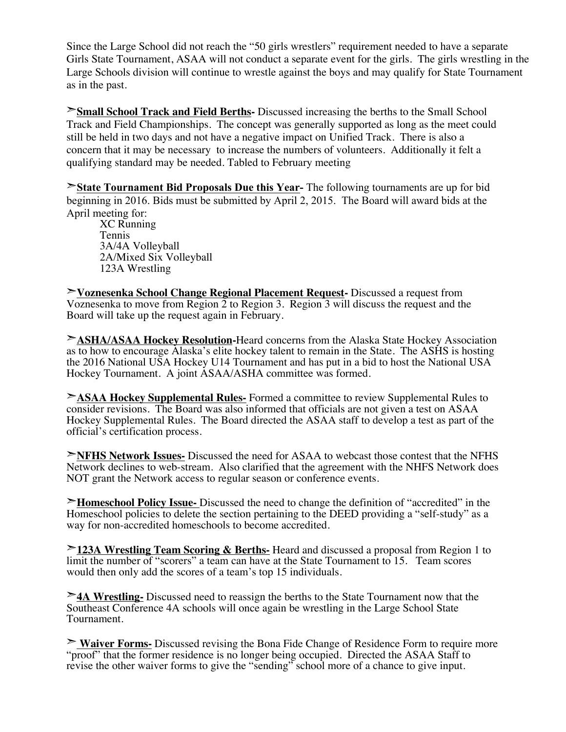Since the Large School did not reach the "50 girls wrestlers" requirement needed to have a separate Girls State Tournament, ASAA will not conduct a separate event for the girls. The girls wrestling in the Large Schools division will continue to wrestle against the boys and may qualify for State Tournament as in the past.

➣**Small School Track and Field Berths-** Discussed increasing the berths to the Small School Track and Field Championships. The concept was generally supported as long as the meet could still be held in two days and not have a negative impact on Unified Track. There is also a concern that it may be necessary to increase the numbers of volunteers. Additionally it felt a qualifying standard may be needed. Tabled to February meeting

➣**State Tournament Bid Proposals Due this Year-** The following tournaments are up for bid beginning in 2016. Bids must be submitted by April 2, 2015. The Board will award bids at the April meeting for:

XC Running Tennis 3A/4A Volleyball 2A/Mixed Six Volleyball 123A Wrestling

➣**Voznesenka School Change Regional Placement Request-** Discussed a request from Voznesenka to move from Region  $\overline{2}$  to Region 3. Region  $\overline{3}$  will discuss the request and the Board will take up the request again in February.

➣**ASHA/ASAA Hockey Resolution-**Heard concerns from the Alaska State Hockey Association as to how to encourage Alaska's elite hockey talent to remain in the State. The ASHS is hosting the 2016 National USA Hockey U14 Tournament and has put in a bid to host the National USA Hockey Tournament. A joint ASAA/ASHA committee was formed.

➣**ASAA Hockey Supplemental Rules-** Formed a committee to review Supplemental Rules to consider revisions. The Board was also informed that officials are not given a test on ASAA Hockey Supplemental Rules. The Board directed the ASAA staff to develop a test as part of the official's certification process.

➣**NFHS Network Issues-** Discussed the need for ASAA to webcast those contest that the NFHS Network declines to web-stream. Also clarified that the agreement with the NHFS Network does NOT grant the Network access to regular season or conference events.

➣**Homeschool Policy Issue-** Discussed the need to change the definition of "accredited" in the Homeschool policies to delete the section pertaining to the DEED providing a "self-study" as a way for non-accredited homeschools to become accredited.

➣**123A Wrestling Team Scoring & Berths-** Heard and discussed a proposal from Region 1 to limit the number of "scorers" a team can have at the State Tournament to 15. Team scores would then only add the scores of a team's top 15 individuals.

➣**4A Wrestling-** Discussed need to reassign the berths to the State Tournament now that the Southeast Conference 4A schools will once again be wrestling in the Large School State Tournament.

➣ **Waiver Forms-** Discussed revising the Bona Fide Change of Residence Form to require more "proof" that the former residence is no longer being occupied. Directed the ASAA Staff to revise the other waiver forms to give the "sending" school more of a chance to give input.